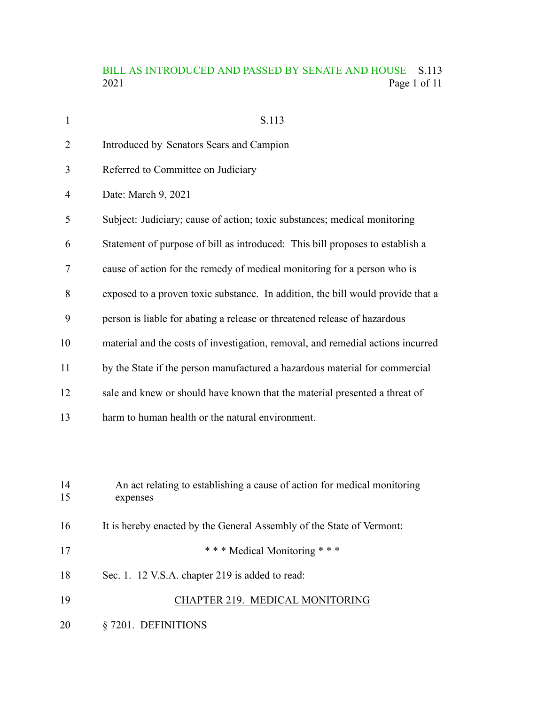# BILL AS INTRODUCED AND PASSED BY SENATE AND HOUSE S.113<br>2021 Page 1 of 11 Page 1 of 11

| $\mathbf{1}$ | S.113                                                                                |
|--------------|--------------------------------------------------------------------------------------|
| 2            | Introduced by Senators Sears and Campion                                             |
| 3            | Referred to Committee on Judiciary                                                   |
| 4            | Date: March 9, 2021                                                                  |
| 5            | Subject: Judiciary; cause of action; toxic substances; medical monitoring            |
| 6            | Statement of purpose of bill as introduced: This bill proposes to establish a        |
| 7            | cause of action for the remedy of medical monitoring for a person who is             |
| 8            | exposed to a proven toxic substance. In addition, the bill would provide that a      |
| 9            | person is liable for abating a release or threatened release of hazardous            |
| 10           | material and the costs of investigation, removal, and remedial actions incurred      |
| 11           | by the State if the person manufactured a hazardous material for commercial          |
| 12           | sale and knew or should have known that the material presented a threat of           |
| 13           | harm to human health or the natural environment.                                     |
|              |                                                                                      |
|              |                                                                                      |
| 14<br>15     | An act relating to establishing a cause of action for medical monitoring<br>expenses |
| 16           | It is hereby enacted by the General Assembly of the State of Vermont:                |
| 17           | *** Medical Monitoring ***                                                           |
| 18           | Sec. 1. 12 V.S.A. chapter 219 is added to read:                                      |
| 19           | CHAPTER 219. MEDICAL MONITORING                                                      |
| 20           | § 7201. DEFINITIONS                                                                  |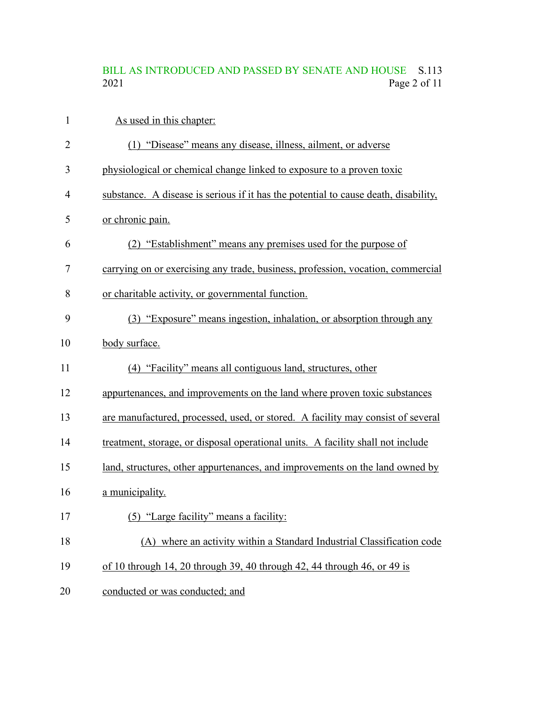# BILL AS INTRODUCED AND PASSED BY SENATE AND HOUSE S.113<br>2021 Page 2 of 11 Page 2 of 11

| $\mathbf{1}$ | As used in this chapter:                                                            |
|--------------|-------------------------------------------------------------------------------------|
| 2            | (1) "Disease" means any disease, illness, ailment, or adverse                       |
| 3            | physiological or chemical change linked to exposure to a proven toxic               |
| 4            | substance. A disease is serious if it has the potential to cause death, disability, |
| 5            | or chronic pain.                                                                    |
| 6            | (2) "Establishment" means any premises used for the purpose of                      |
| 7            | carrying on or exercising any trade, business, profession, vocation, commercial     |
| 8            | or charitable activity, or governmental function.                                   |
| 9            | (3) "Exposure" means ingestion, inhalation, or absorption through any               |
| 10           | body surface.                                                                       |
| 11           | (4) "Facility" means all contiguous land, structures, other                         |
| 12           | appurtenances, and improvements on the land where proven toxic substances           |
| 13           | are manufactured, processed, used, or stored. A facility may consist of several     |
| 14           | treatment, storage, or disposal operational units. A facility shall not include     |
| 15           | land, structures, other appurtenances, and improvements on the land owned by        |
| 16           | a municipality.                                                                     |
| 17           | (5) "Large facility" means a facility:                                              |
| 18           | (A) where an activity within a Standard Industrial Classification code              |
| 19           | of 10 through 14, 20 through 39, 40 through 42, 44 through 46, or 49 is             |
| 20           | conducted or was conducted; and                                                     |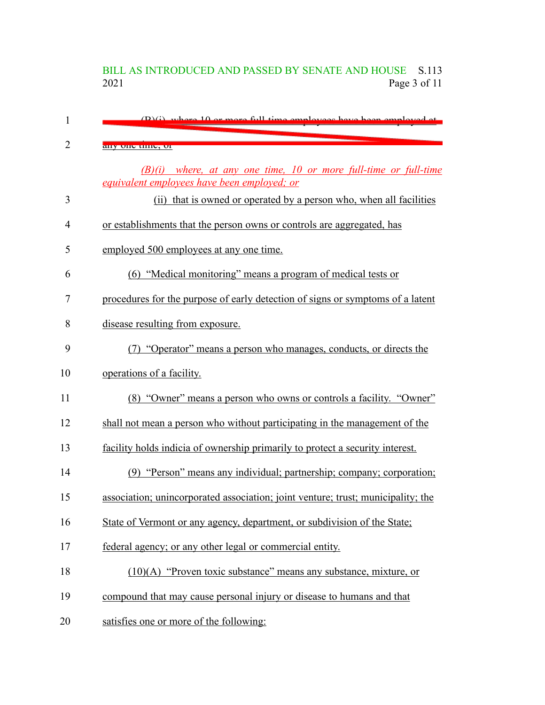## BILL AS INTRODUCED AND PASSED BY SENATE AND HOUSE S.113<br>2021 Page 3 of 11 Page 3 of 11

| 1              | (B)(i) where 10 or more full time employees have been employed at                                                 |
|----------------|-------------------------------------------------------------------------------------------------------------------|
| $\overline{2}$ | any one unic, or                                                                                                  |
|                | $(B)(i)$ where, at any one time, 10 or more full-time or full-time<br>equivalent employees have been employed; or |
| 3              | that is owned or operated by a person who, when all facilities<br>(ii)                                            |
| $\overline{4}$ | or establishments that the person owns or controls are aggregated, has                                            |
| 5              | employed 500 employees at any one time.                                                                           |
| 6              | (6) "Medical monitoring" means a program of medical tests or                                                      |
| 7              | procedures for the purpose of early detection of signs or symptoms of a latent                                    |
| 8              | disease resulting from exposure.                                                                                  |
| 9              | (7) "Operator" means a person who manages, conducts, or directs the                                               |
| 10             | operations of a facility.                                                                                         |
| 11             | (8) "Owner" means a person who owns or controls a facility. "Owner"                                               |
| 12             | shall not mean a person who without participating in the management of the                                        |
| 13             | facility holds indicia of ownership primarily to protect a security interest.                                     |
| 14             | (9) "Person" means any individual; partnership; company; corporation;                                             |
| 15             | association; unincorporated association; joint venture; trust; municipality; the                                  |
| 16             | State of Vermont or any agency, department, or subdivision of the State;                                          |
| 17             | federal agency; or any other legal or commercial entity.                                                          |
| 18             | $(10)(A)$ "Proven toxic substance" means any substance, mixture, or                                               |
| 19             | compound that may cause personal injury or disease to humans and that                                             |
| 20             | satisfies one or more of the following:                                                                           |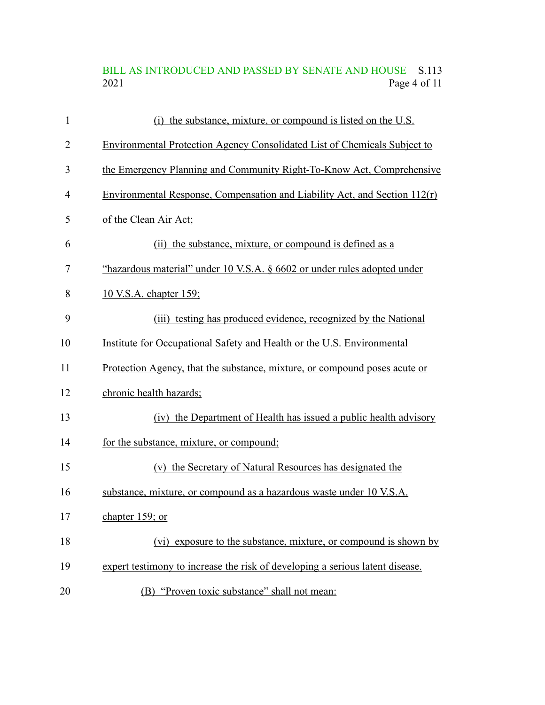BILL AS INTRODUCED AND PASSED BY SENATE AND HOUSE S.113<br>2021 Page 4 of 11 Page 4 of 11

| $\mathbf{1}$   | (i) the substance, mixture, or compound is listed on the U.S.                    |
|----------------|----------------------------------------------------------------------------------|
| $\overline{2}$ | <b>Environmental Protection Agency Consolidated List of Chemicals Subject to</b> |
| 3              | the Emergency Planning and Community Right-To-Know Act, Comprehensive            |
| 4              | Environmental Response, Compensation and Liability Act, and Section $112(r)$     |
| 5              | of the Clean Air Act;                                                            |
| 6              | (ii) the substance, mixture, or compound is defined as a                         |
| 7              | "hazardous material" under 10 V.S.A. § 6602 or under rules adopted under         |
| 8              | 10 V.S.A. chapter 159;                                                           |
| 9              | (iii) testing has produced evidence, recognized by the National                  |
| 10             | Institute for Occupational Safety and Health or the U.S. Environmental           |
| 11             | Protection Agency, that the substance, mixture, or compound poses acute or       |
| 12             | chronic health hazards;                                                          |
| 13             | (iv) the Department of Health has issued a public health advisory                |
| 14             | for the substance, mixture, or compound;                                         |
| 15             | (v) the Secretary of Natural Resources has designated the                        |
| 16             | substance, mixture, or compound as a hazardous waste under 10 V.S.A.             |
| 17             | chapter 159; or                                                                  |
| 18             | (vi) exposure to the substance, mixture, or compound is shown by                 |
| 19             | expert testimony to increase the risk of developing a serious latent disease.    |
| 20             | (B) "Proven toxic substance" shall not mean:                                     |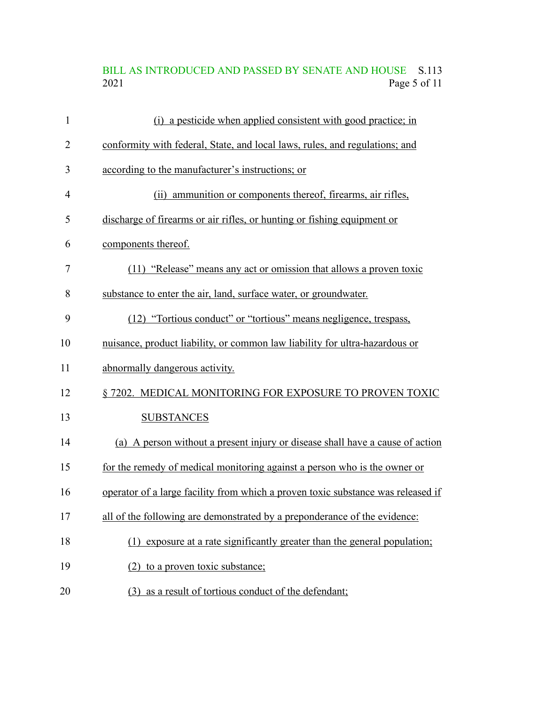# BILL AS INTRODUCED AND PASSED BY SENATE AND HOUSE S.113<br>2021 Page 5 of 11 Page 5 of 11

| $\mathbf{1}$ | (i) a pesticide when applied consistent with good practice; in                   |
|--------------|----------------------------------------------------------------------------------|
| 2            | conformity with federal, State, and local laws, rules, and regulations; and      |
| 3            | according to the manufacturer's instructions; or                                 |
| 4            | (ii) ammunition or components thereof, firearms, air rifles,                     |
| 5            | discharge of firearms or air rifles, or hunting or fishing equipment or          |
| 6            | components thereof.                                                              |
| 7            | (11) "Release" means any act or omission that allows a proven toxic              |
| 8            | substance to enter the air, land, surface water, or groundwater.                 |
| 9            | (12) "Tortious conduct" or "tortious" means negligence, trespass,                |
| 10           | nuisance, product liability, or common law liability for ultra-hazardous or      |
| 11           | abnormally dangerous activity.                                                   |
| 12           | § 7202. MEDICAL MONITORING FOR EXPOSURE TO PROVEN TOXIC                          |
| 13           | <b>SUBSTANCES</b>                                                                |
| 14           | (a) A person without a present injury or disease shall have a cause of action    |
| 15           | for the remedy of medical monitoring against a person who is the owner or        |
| 16           | operator of a large facility from which a proven toxic substance was released if |
| 17           | all of the following are demonstrated by a preponderance of the evidence:        |
| 18           | (1) exposure at a rate significantly greater than the general population;        |
| 19           | (2) to a proven toxic substance;                                                 |
| 20           | as a result of tortious conduct of the defendant;<br>(3)                         |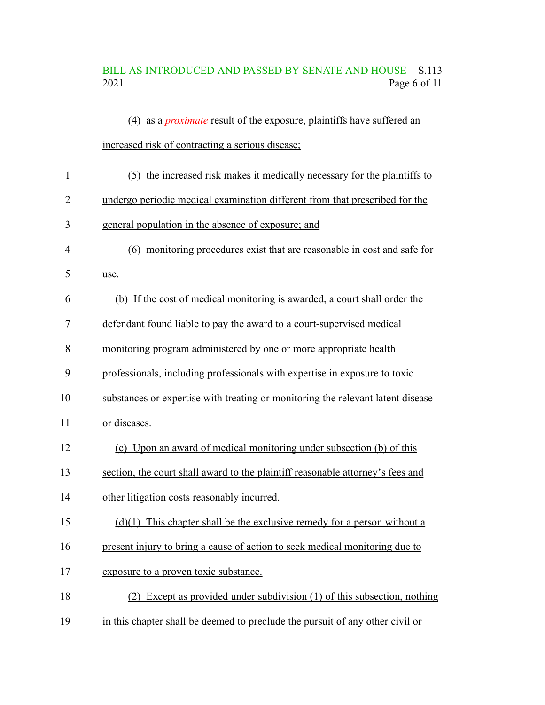## BILL AS INTRODUCED AND PASSED BY SENATE AND HOUSE S.113 2021 Page 6 of 11

|              | (4) as a <i>proximate</i> result of the exposure, plaintiffs have suffered an   |
|--------------|---------------------------------------------------------------------------------|
|              | increased risk of contracting a serious disease;                                |
| $\mathbf{1}$ | (5) the increased risk makes it medically necessary for the plaintiffs to       |
| 2            | undergo periodic medical examination different from that prescribed for the     |
| 3            | general population in the absence of exposure; and                              |
| 4            | (6) monitoring procedures exist that are reasonable in cost and safe for        |
| 5            | use.                                                                            |
| 6            | (b) If the cost of medical monitoring is awarded, a court shall order the       |
| 7            | defendant found liable to pay the award to a court-supervised medical           |
| 8            | monitoring program administered by one or more appropriate health               |
| 9            | professionals, including professionals with expertise in exposure to toxic      |
| 10           | substances or expertise with treating or monitoring the relevant latent disease |
| 11           | or diseases.                                                                    |
| 12           | (c) Upon an award of medical monitoring under subsection (b) of this            |
| 13           | section, the court shall award to the plaintiff reasonable attorney's fees and  |
| 14           | other litigation costs reasonably incurred.                                     |
| 15           | $(d)(1)$ This chapter shall be the exclusive remedy for a person without a      |
| 16           | present injury to bring a cause of action to seek medical monitoring due to     |
| 17           | exposure to a proven toxic substance.                                           |
| 18           | Except as provided under subdivision (1) of this subsection, nothing<br>(2)     |
| 19           | in this chapter shall be deemed to preclude the pursuit of any other civil or   |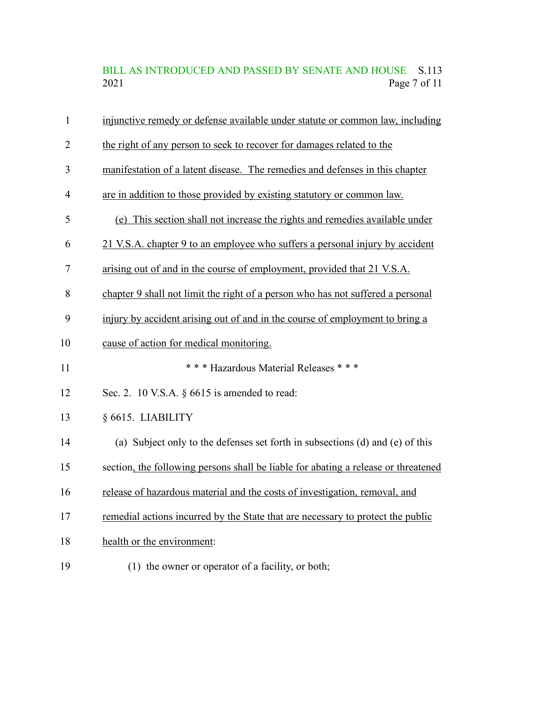## BILL AS INTRODUCED AND PASSED BY SENATE AND HOUSE S.113<br>2021 Page 7 of 11 Page 7 of  $11$

| $\mathbf{1}$   | injunctive remedy or defense available under statute or common law, including      |
|----------------|------------------------------------------------------------------------------------|
| $\overline{2}$ | the right of any person to seek to recover for damages related to the              |
| 3              | manifestation of a latent disease. The remedies and defenses in this chapter       |
| $\overline{4}$ | are in addition to those provided by existing statutory or common law.             |
| 5              | (e) This section shall not increase the rights and remedies available under        |
| 6              | 21 V.S.A. chapter 9 to an employee who suffers a personal injury by accident       |
| 7              | arising out of and in the course of employment, provided that 21 V.S.A.            |
| 8              | chapter 9 shall not limit the right of a person who has not suffered a personal    |
| 9              | injury by accident arising out of and in the course of employment to bring a       |
| 10             | cause of action for medical monitoring.                                            |
| 11             | *** Hazardous Material Releases ***                                                |
| 12             | Sec. 2. 10 V.S.A. $\S$ 6615 is amended to read:                                    |
| 13             | § 6615. LIABILITY                                                                  |
| 14             | (a) Subject only to the defenses set forth in subsections (d) and (e) of this      |
| 15             | section, the following persons shall be liable for abating a release or threatened |
| 16             | release of hazardous material and the costs of investigation, removal, and         |
| 17             | remedial actions incurred by the State that are necessary to protect the public    |
| 18             | health or the environment:                                                         |
| 19             | (1) the owner or operator of a facility, or both;                                  |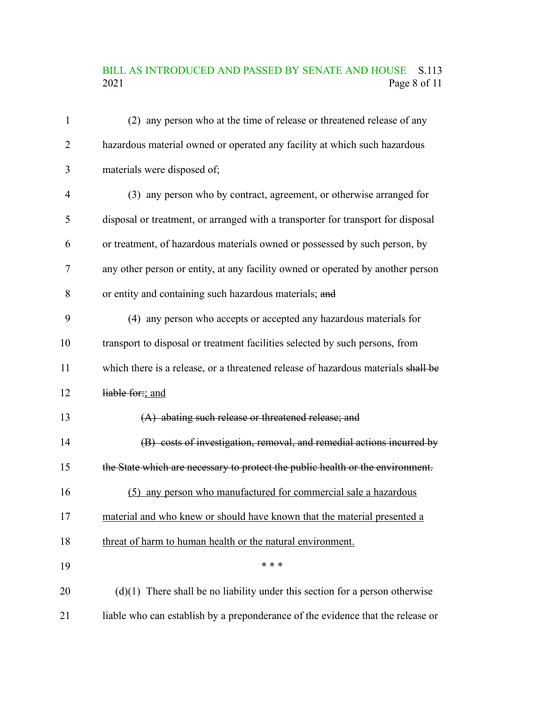#### BILL AS INTRODUCED AND PASSED BY SENATE AND HOUSE S.113<br>2021 Page 8 of 11 Page 8 of 11

| 1              | (2) any person who at the time of release or threatened release of any            |
|----------------|-----------------------------------------------------------------------------------|
| 2              | hazardous material owned or operated any facility at which such hazardous         |
| 3              | materials were disposed of;                                                       |
| $\overline{4}$ | (3) any person who by contract, agreement, or otherwise arranged for              |
| 5              | disposal or treatment, or arranged with a transporter for transport for disposal  |
| 6              | or treatment, of hazardous materials owned or possessed by such person, by        |
| 7              | any other person or entity, at any facility owned or operated by another person   |
| 8              | or entity and containing such hazardous materials; and                            |
| 9              | (4) any person who accepts or accepted any hazardous materials for                |
| 10             | transport to disposal or treatment facilities selected by such persons, from      |
| 11             | which there is a release, or a threatened release of hazardous materials shall be |
| 12             | liable for:; and                                                                  |
| 13             | (A) abating such release or threatened release; and                               |
| 14             | (B) costs of investigation, removal, and remedial actions incurred by             |
| 15             | the State which are necessary to protect the public health or the environment.    |
| 16             | (5) any person who manufactured for commercial sale a hazardous                   |
| 17             | material and who knew or should have known that the material presented a          |
| 18             | threat of harm to human health or the natural environment.                        |
| 19             | * * *                                                                             |
| 20             | $(d)(1)$ There shall be no liability under this section for a person otherwise    |
| 21             | liable who can establish by a preponderance of the evidence that the release or   |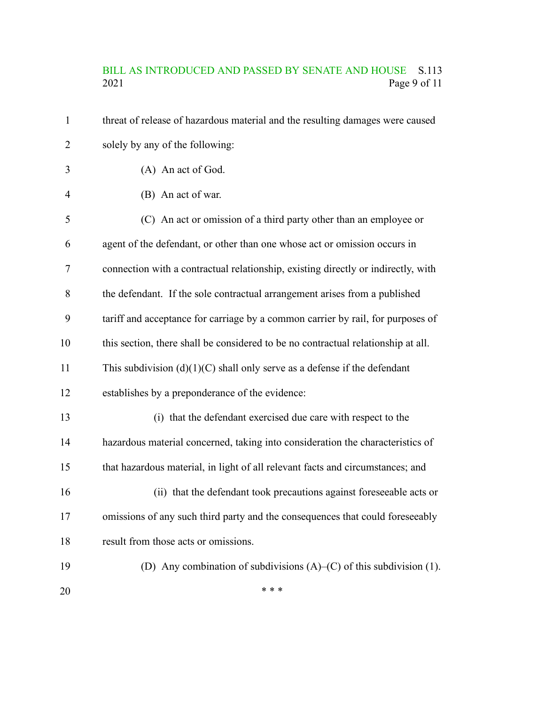#### BILL AS INTRODUCED AND PASSED BY SENATE AND HOUSE S.113 2021 Page 9 of 11

threat of release of hazardous material and the resulting damages were caused solely by any of the following: (A) An act of God. (B) An act of war. (C) An act or omission of a third party other than an employee or agent of the defendant, or other than one whose act or omission occurs in connection with a contractual relationship, existing directly or indirectly, with the defendant. If the sole contractual arrangement arises from a published tariff and acceptance for carriage by a common carrier by rail, for purposes of this section, there shall be considered to be no contractual relationship at all. This subdivision  $(d)(1)(C)$  shall only serve as a defense if the defendant establishes by a preponderance of the evidence: (i) that the defendant exercised due care with respect to the hazardous material concerned, taking into consideration the characteristics of that hazardous material, in light of all relevant facts and circumstances; and (ii) that the defendant took precautions against foreseeable acts or omissions of any such third party and the consequences that could foreseeably result from those acts or omissions. (D) Any combination of subdivisions (A)–(C) of this subdivision (1). \* \* \* 1 2 3 4 5 6 7 8 9 10 11 12 13 14 15 16 17 18 19 20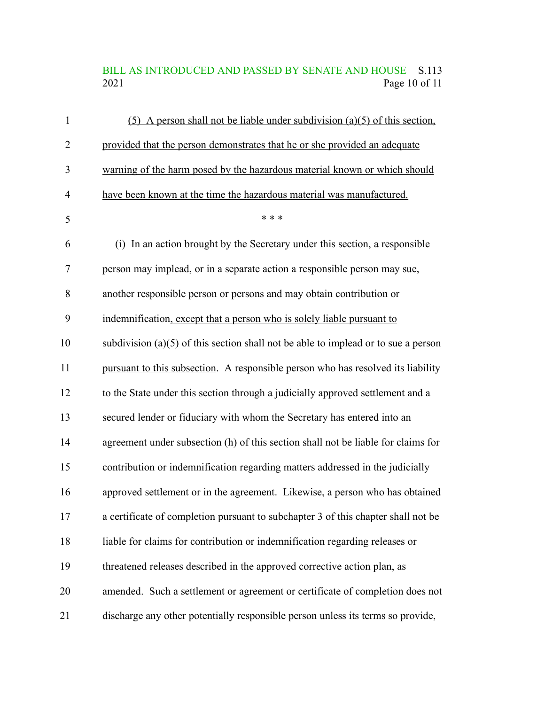## BILL AS INTRODUCED AND PASSED BY SENATE AND HOUSE S.113<br>2021 Page 10 of 11 Page 10 of 11

| $\mathbf{1}$   | $(5)$ A person shall not be liable under subdivision (a)(5) of this section,         |
|----------------|--------------------------------------------------------------------------------------|
| $\overline{2}$ | provided that the person demonstrates that he or she provided an adequate            |
| 3              | warning of the harm posed by the hazardous material known or which should            |
| $\overline{4}$ | have been known at the time the hazardous material was manufactured.                 |
| 5              | * * *                                                                                |
| 6              | (i) In an action brought by the Secretary under this section, a responsible          |
| 7              | person may implead, or in a separate action a responsible person may sue,            |
| 8              | another responsible person or persons and may obtain contribution or                 |
| 9              | indemnification, except that a person who is solely liable pursuant to               |
| 10             | subdivision $(a)(5)$ of this section shall not be able to implead or to sue a person |
| 11             | pursuant to this subsection. A responsible person who has resolved its liability     |
| 12             | to the State under this section through a judicially approved settlement and a       |
| 13             | secured lender or fiduciary with whom the Secretary has entered into an              |
| 14             | agreement under subsection (h) of this section shall not be liable for claims for    |
| 15             | contribution or indemnification regarding matters addressed in the judicially        |
| 16             | approved settlement or in the agreement. Likewise, a person who has obtained         |
| 17             | a certificate of completion pursuant to subchapter 3 of this chapter shall not be    |
| 18             | liable for claims for contribution or indemnification regarding releases or          |
| 19             | threatened releases described in the approved corrective action plan, as             |
| 20             | amended. Such a settlement or agreement or certificate of completion does not        |
| 21             | discharge any other potentially responsible person unless its terms so provide,      |